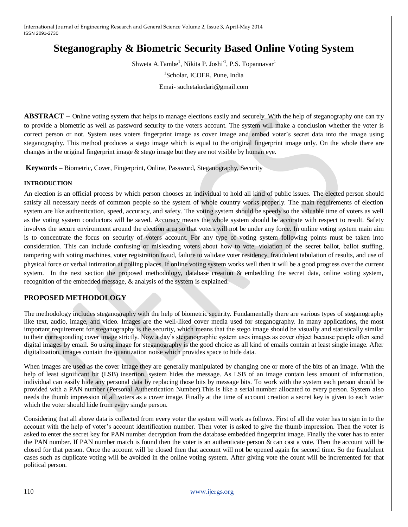# **Steganography & Biometric Security Based Online Voting System**

Shweta A.Tambe<sup>1</sup>, Nikita P. Joshi<sup>\1</sup>, P.S. Topannavar<sup>1</sup> 1 Scholar, ICOER, Pune, India Emai- suchetakedari@gmail.com

**ABSTRACT –** Online voting system that helps to manage elections easily and securely. With the help of steganography one can try to provide a biometric as well as password security to the voters account. The system will make a conclusion whether the voter is correct person or not. System uses voters fingerprint image as cover image and embed voter's secret data into the image using steganography. This method produces a stego image which is equal to the original fingerprint image only. On the whole there are changes in the original fingerprint image & stego image but they are not visible by human eye.

**Keywords** – Biometric, Cover, Fingerprint, Online, Password, Steganography, Security

#### **INTRODUCTION**

An election is an official [process](http://en.wikipedia.org/wiki/Decision_making) by which person chooses an individual to hold all kind of public issues. The elected person should satisfy all necessary needs of common people so the system of whole country works properly. The main requirements of election system are like authentication, speed, accuracy, and safety. The voting system should be speedy so the valuable time of voters as well as the voting system conductors will be saved. Accuracy means the whole system should be accurate with respect to result. Safety involves the secure environment around the election area so that voters will not be under any force. In online voting system main aim is to concentrate the focus on security of voters account. For any type of voting system following points must be taken into consideration. This can include confusing or misleading voters about how to vote, violation of the [secret ballot,](http://en.wikipedia.org/wiki/Secret_ballot) [ballot stuffing,](http://en.wikipedia.org/wiki/Ballot_stuffing) tampering with voting machines, voter registration fraud, failure to validate voter residency, fraudulent tabulation of results, and use of physical force or verbal intimation at polling places. If online voting system works well then it will be a good progress over the current system. In the next section the proposed methodology, database creation & embedding the secret data, online voting system, recognition of the embedded message, & analysis of the system is explained.

### **PROPOSED METHODOLOGY**

The methodology includes steganography with the help of biometric security. Fundamentally there are various types of steganography like text, audio, image, and video. Images are the well-liked cover media used for steganography. In many applications, the most important requirement for steganography is the security, which means that the stego image should be visually and statistically similar to their corresponding cover image strictly. Now a day's steganographic system uses images as cover object because people often send digital images by email. So using image for steganography is the good choice as all kind of emails contain at least single image. After digitalization, images contain the quantization noise which provides space to hide data.

When images are used as the cover image they are generally manipulated by changing one or more of the bits of an image. With the help of least significant bit (LSB) insertion, system hides the message. As LSB of an image contain less amount of information, individual can easily hide any personal data by replacing those bits by message bits. To work with the system each person should be provided with a PAN number (Personal Authentication Number).This is like a serial number allocated to every person. System also needs the thumb impression of all voters as a cover image. Finally at the time of account creation a secret key is given to each voter which the voter should hide from every single person.

Considering that all above data is collected from every voter the system will work as follows. First of all the voter has to sign in to the account with the help of voter's account identification number. Then voter is asked to give the thumb impression. Then the voter is asked to enter the secret key for PAN number decryption from the database embedded fingerprint image. Finally the voter has to enter the PAN number. If PAN number match is found then the voter is an authenticate person & can cast a vote. Then the account will be closed for that person. Once the account will be closed then that account will not be opened again for second time. So the fraudulent cases such as duplicate voting will be avoided in the online voting system. After giving vote the count will be incremented for that political person.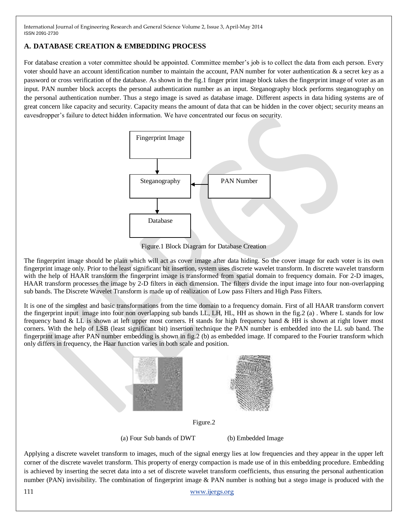### **A. DATABASE CREATION & EMBEDDING PROCESS**

For database creation a voter committee should be appointed. Committee member's job is to collect the data from each person. Every voter should have an account identification number to maintain the account, PAN number for voter authentication & a secret key as a password or cross verification of the database. As shown in the fig.1 finger print image block takes the fingerprint image of voter as an input. PAN number block accepts the personal authentication number as an input. Steganography block performs steganography on the personal authentication number. Thus a stego image is saved as database image. Different aspects in data hiding systems are of great concern like capacity and security. Capacity means the amount of data that can be hidden in the cover object; security means an eavesdropper's failure to detect hidden information. We have concentrated our focus on security.



Figure.1 Block Diagram for Database Creation

The fingerprint image should be plain which will act as cover image after data hiding. So the cover image for each voter is its own fingerprint image only. Prior to the least significant bit insertion, system uses discrete wavelet transform. In discrete wavelet transform with the help of HAAR transform the fingerprint image is transformed from spatial domain to frequency domain. For 2-D images, HAAR transform processes the image by 2-D filters in each dimension. The filters divide the input image into four non-overlapping sub bands. The Discrete Wavelet Transform is made up of realization of Low pass Filters and High Pass Filters.

It is one of the simplest and basic transformations from the time domain to a frequency domain. First of all HAAR transform convert the fingerprint input image into four non overlapping sub bands LL, LH, HL, HH as shown in the fig.2 (a) . Where L stands for low frequency band & LL is shown at left upper most corners. H stands for high frequency band & HH is shown at right lower most corners. With the help of LSB (least significant bit) insertion technique the PAN number is embedded into the LL sub band. The fingerprint image after PAN number embedding is shown in fig.2 (b) as embedded image. If compared to the Fourier transform which only differs in frequency, the Haar function varies in both scale and position.



Figure.2

(a) Four Sub bands of DWT (b) Embedded Image

Applying a discrete wavelet transform to images, much of the signal energy lies at low frequencies and they appear in the upper left corner of the discrete wavelet transform. This property of energy compaction is made use of in this embedding procedure. Embedding is achieved by inserting the secret data into a set of discrete wavelet transform coefficients, thus ensuring the personal authentication number (PAN) invisibility. The combination of fingerprint image & PAN number is nothing but a stego image is produced with the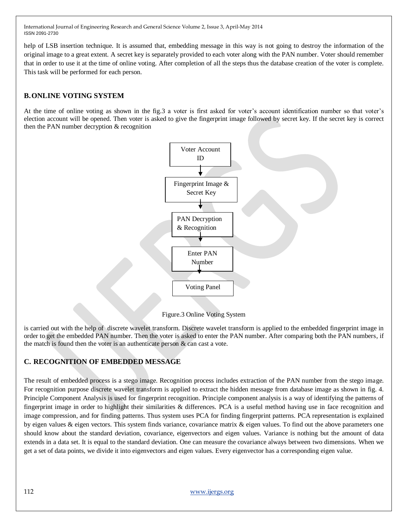help of LSB insertion technique. It is assumed that, embedding message in this way is not going to destroy the information of the original image to a great extent. A secret key is separately provided to each voter along with the PAN number. Voter should remember that in order to use it at the time of online voting. After completion of all the steps thus the database creation of the voter is complete. This task will be performed for each person.

## **B.ONLINE VOTING SYSTEM**

At the time of online voting as shown in the fig.3 a voter is first asked for voter's account identification number so that voter's election account will be opened. Then voter is asked to give the fingerprint image followed by secret key. If the secret key is correct then the PAN number decryption & recognition



Figure.3 Online Voting System

is carried out with the help of discrete wavelet transform. Discrete wavelet transform is applied to the embedded fingerprint image in order to get the embedded PAN number. Then the voter is asked to enter the PAN number. After comparing both the PAN numbers, if the match is found then the voter is an authenticate person  $\&$  can cast a vote.

# **C. RECOGNITION OF EMBEDDED MESSAGE**

The result of embedded process is a stego image. Recognition process includes extraction of the PAN number from the stego image. For recognition purpose discrete wavelet transform is applied to extract the hidden message from database image as shown in fig. 4. Principle Component Analysis is used for fingerprint recognition. Principle component analysis is a way of identifying the patterns of fingerprint image in order to highlight their similarities & differences. PCA is a useful method having use in face recognition and image compression, and for finding patterns. Thus system uses PCA for finding fingerprint patterns. PCA representation is explained by eigen values & eigen vectors. This system finds variance, covariance matrix & eigen values. To find out the above parameters one should know about the standard deviation, covariance, eigenvectors and eigen values. Variance is nothing but the amount of data extends in a data set. It is equal to the standard deviation. One can measure the covariance always between two dimensions. When we get a set of data points, we divide it into eigenvectors and eigen values. Every eigenvector has a corresponding eigen value.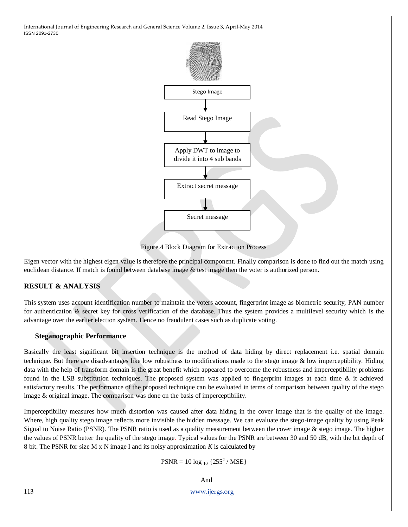

Figure.4 Block Diagram for Extraction Process

Eigen vector with the highest eigen value is therefore the principal component. Finally comparison is done to find out the match using euclidean distance. If match is found between database image & test image then the voter is authorized person.

### **RESULT & ANALYSIS**

This system uses account identification number to maintain the voters account, fingerprint image as biometric security, PAN number for authentication & secret key for cross verification of the database. Thus the system provides a multilevel security which is the advantage over the earlier election system. Hence no fraudulent cases such as duplicate voting.

#### **Steganographic Performance**

Basically the least significant bit insertion technique is the method of data hiding by direct replacement i.e. spatial domain technique. But there are disadvantages like low robustness to modifications made to the stego image & low imperceptibility. Hiding data with the help of transform domain is the great benefit which appeared to overcome the robustness and imperceptibility problems found in the LSB substitution techniques. The proposed system was applied to fingerprint images at each time & it achieved satisfactory results. The performance of the proposed technique can be evaluated in terms of comparison between quality of the stego image & original image. The comparison was done on the basis of imperceptibility.

Imperceptibility measures how much distortion was caused after data hiding in the cover image that is the quality of the image. Where, high quality stego image reflects more invisible the hidden message. We can evaluate the stego-image quality by using Peak Signal to Noise Ratio (PSNR). The PSNR ratio is used as a quality measurement between the cover image  $\&$  stego image. The higher the values of PSNR better the quality of the stego image. Typical values for the PSNR are between 30 and 50 [dB,](http://en.wikipedia.org/wiki/Decibel) with the bit depth of 8 [bit.](http://en.wikipedia.org/wiki/Bit) The PSNR for size M x N image I and its noisy approximation *K* is calculated by

 $PSNR = 10 \log_{10} \{255^2 / MSE\}$ 

And

113 [www.ijergs.org](http://www.ijergs.org/)